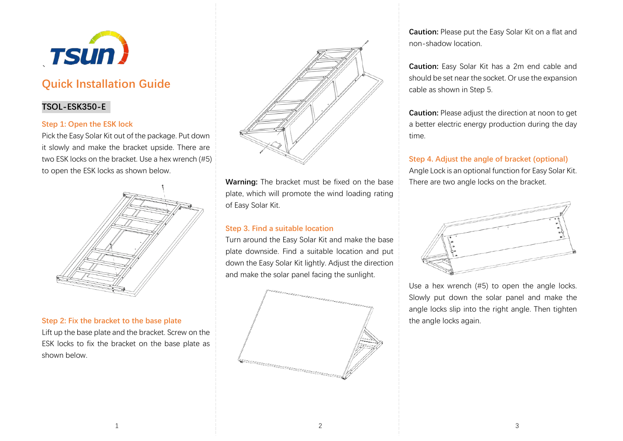

# **Quick Installation Guide**

# **TSOL-ESK350-E**

### **Step 1: Open the ESK lock**

Pick the Easy Solar Kit out of the package. Put down it slowly and make the bracket upside. There are two ESK locks on the bracket. Use a hex wrench (#5) to open the ESK locks as shown below.



### **Step 2: Fix the bracket to the base plate**

Lift up the base plate and the bracket. Screw on the ESK locks to fix the bracket on the base plate as shown below.



**Warning:** The bracket must be fixed on the base plate, which will promote the wind loading rating of Easy Solar Kit.

## **Step 3. Find a suitable location**

Turn around the Easy Solar Kit and make the base plate downside. Find a suitable location and put down the Easy Solar Kit lightly. Adjust the direction and make the solar panel facing the sunlight.



**Caution:** Please put the Easy Solar Kit on a flat and non-shadow location.

**Caution:** Easy Solar Kit has a 2m end cable and should be set near the socket. Or use the expansion cable as shown in Step 5.

**Caution:** Please adjust the direction at noon to get a better electric energy production during the day time.

**Step 4. Adjust the angle of bracket (optional)** Angle Lock is an optional function for Easy Solar Kit. There are two angle locks on the bracket.



Use a hex wrench (#5) to open the angle locks. Slowly put down the solar panel and make the angle locks slip into the right angle. Then tighten the angle locks again.